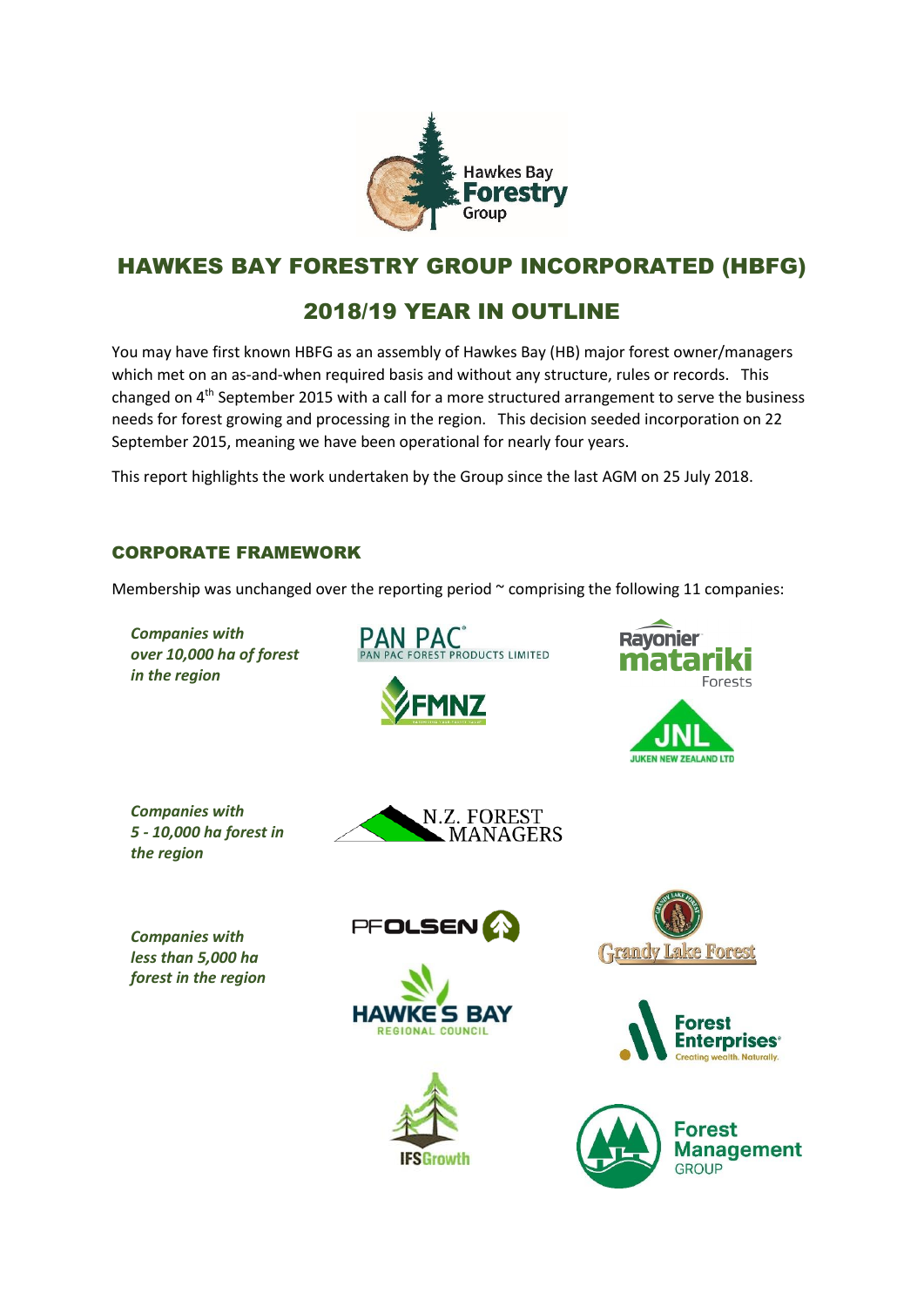

# HAWKES BAY FORESTRY GROUP INCORPORATED (HBFG)

# 2018/19 YEAR IN OUTLINE

You may have first known HBFG as an assembly of Hawkes Bay (HB) major forest owner/managers which met on an as-and-when required basis and without any structure, rules or records. This changed on 4<sup>th</sup> September 2015 with a call for a more structured arrangement to serve the business needs for forest growing and processing in the region. This decision seeded incorporation on 22 September 2015, meaning we have been operational for nearly four years.

This report highlights the work undertaken by the Group since the last AGM on 25 July 2018.

## CORPORATE FRAMEWORK

Membership was unchanged over the reporting period  $\sim$  comprising the following 11 companies:

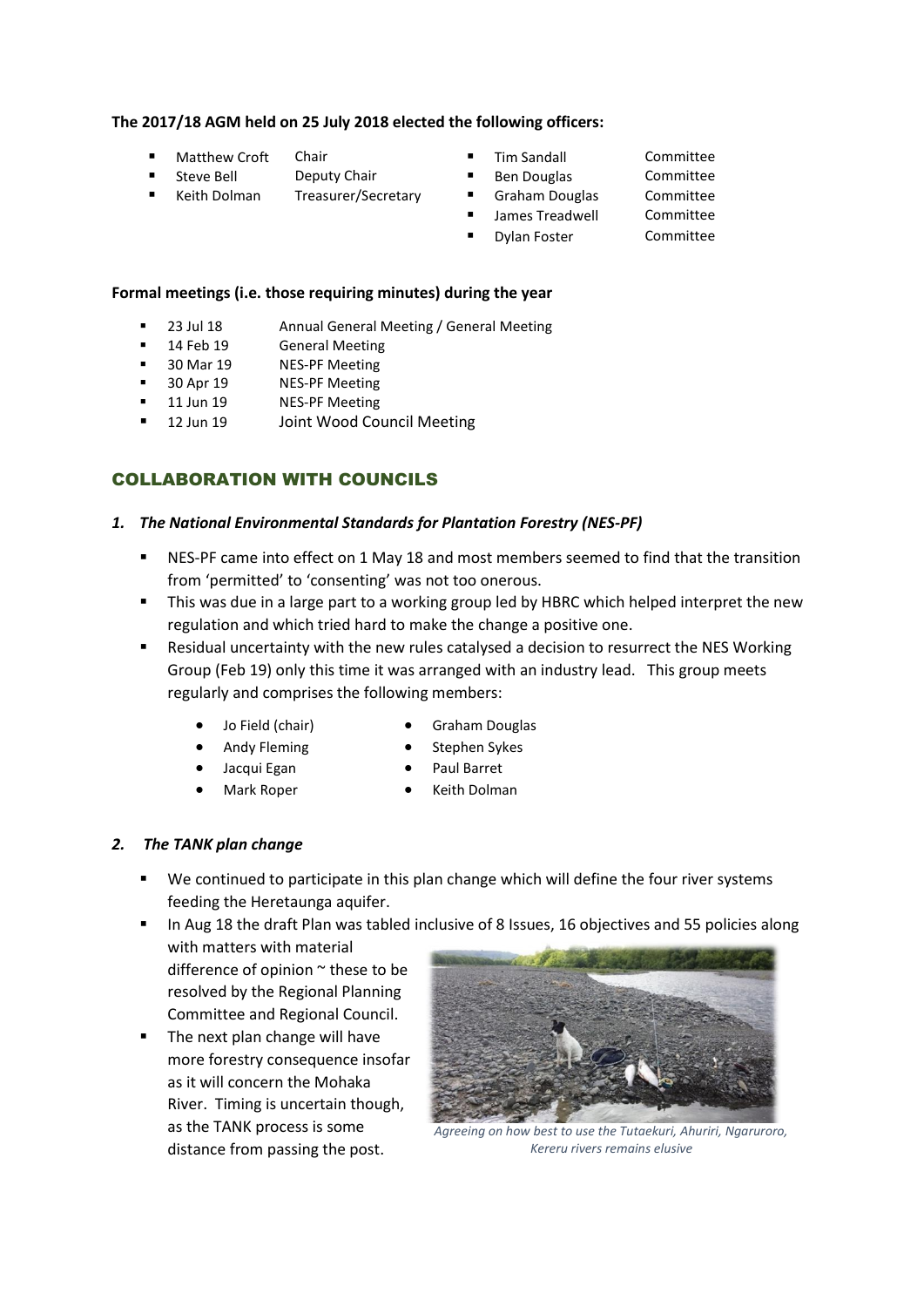#### **The 2017/18 AGM held on 25 July 2018 elected the following officers:**

- Matthew Croft Chair Tim Sandall Committee
- Steve Bell Deputy Chair Ben Douglas Committee
- Keith Dolman Treasurer/Secretary Graham Douglas Committee
- 
- 

- -

#### **Formal meetings (i.e. those requiring minutes) during the year**

- 23 Jul 18 Annual General Meeting / General Meeting
- 14 Feb 19 General Meeting
- 30 Mar 19 NES-PF Meeting
- 30 Apr 19 NES-PF Meeting
- 11 Jun 19 NES-PF Meeting
- 12 Jun 19 Joint Wood Council Meeting

## COLLABORATION WITH COUNCILS

#### *1. The National Environmental Standards for Plantation Forestry (NES-PF)*

- NES-PF came into effect on 1 May 18 and most members seemed to find that the transition from 'permitted' to 'consenting' was not too onerous.
- This was due in a large part to a working group led by HBRC which helped interpret the new regulation and which tried hard to make the change a positive one.
- Residual uncertainty with the new rules catalysed a decision to resurrect the NES Working Group (Feb 19) only this time it was arranged with an industry lead. This group meets regularly and comprises the following members:
	- - Jo Field (chair) Graham Douglas
		- Andy Fleming **•** Stephen Sykes
- - - Jacqui Egan **•** Paul Barret
		- Mark Roper Keith Dolman

#### *2. The TANK plan change*

- We continued to participate in this plan change which will define the four river systems feeding the Heretaunga aquifer.
- In Aug 18 the draft Plan was tabled inclusive of 8 Issues, 16 objectives and 55 policies along with matters with material
	- difference of opinion  $\sim$  these to be resolved by the Regional Planning Committee and Regional Council.
- The next plan change will have more forestry consequence insofar as it will concern the Mohaka River. Timing is uncertain though, as the TANK process is some distance from passing the post.



*Agreeing on how best to use the Tutaekuri, Ahuriri, Ngaruroro, Kereru rivers remains elusive*

- 
- 
- James Treadwell Committee
- Dylan Foster Committee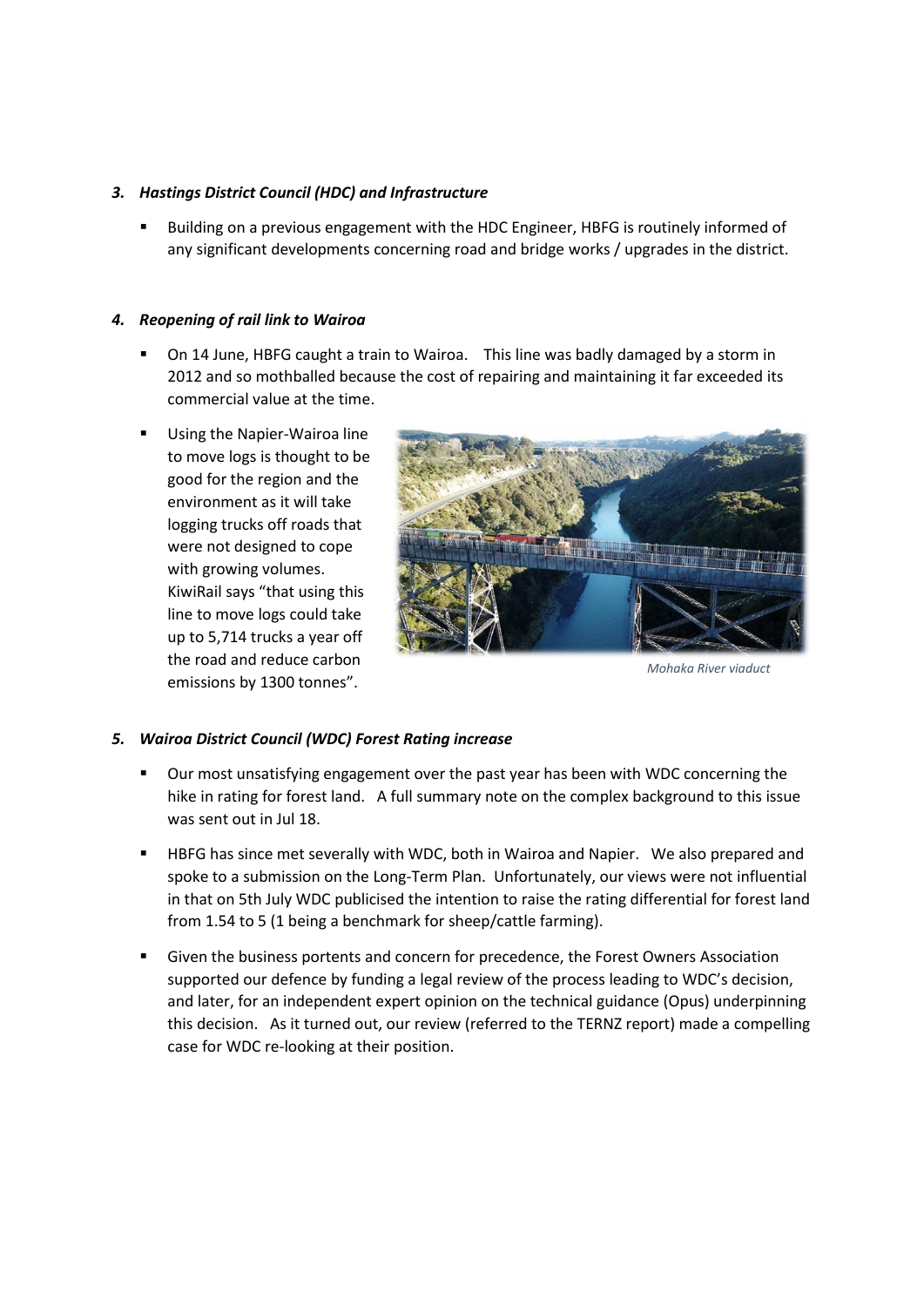#### *3. Hastings District Council (HDC) and Infrastructure*

Building on a previous engagement with the HDC Engineer, HBFG is routinely informed of any significant developments concerning road and bridge works / upgrades in the district.

#### *4. Reopening of rail link to Wairoa*

- On 14 June, HBFG caught a train to Wairoa. This line was badly damaged by a storm in 2012 and so mothballed because the cost of repairing and maintaining it far exceeded its commercial value at the time.
- Using the Napier-Wairoa line to move logs is thought to be good for the region and the environment as it will take logging trucks off roads that were not designed to cope with growing volumes. KiwiRail says "that using this line to move logs could take up to 5,714 trucks a year off the road and reduce carbon emissions by 1300 tonnes".



*Mohaka River viaduct*

#### *5. Wairoa District Council (WDC) Forest Rating increase*

- Our most unsatisfying engagement over the past year has been with WDC concerning the hike in rating for forest land. A full summary note on the complex background to this issue was sent out in Jul 18.
- HBFG has since met severally with WDC, both in Wairoa and Napier. We also prepared and spoke to a submission on the Long-Term Plan. Unfortunately, our views were not influential in that on 5th July WDC publicised the intention to raise the rating differential for forest land from 1.54 to 5 (1 being a benchmark for sheep/cattle farming).
- Given the business portents and concern for precedence, the Forest Owners Association supported our defence by funding a legal review of the process leading to WDC's decision, and later, for an independent expert opinion on the technical guidance (Opus) underpinning this decision. As it turned out, our review (referred to the TERNZ report) made a compelling case for WDC re-looking at their position.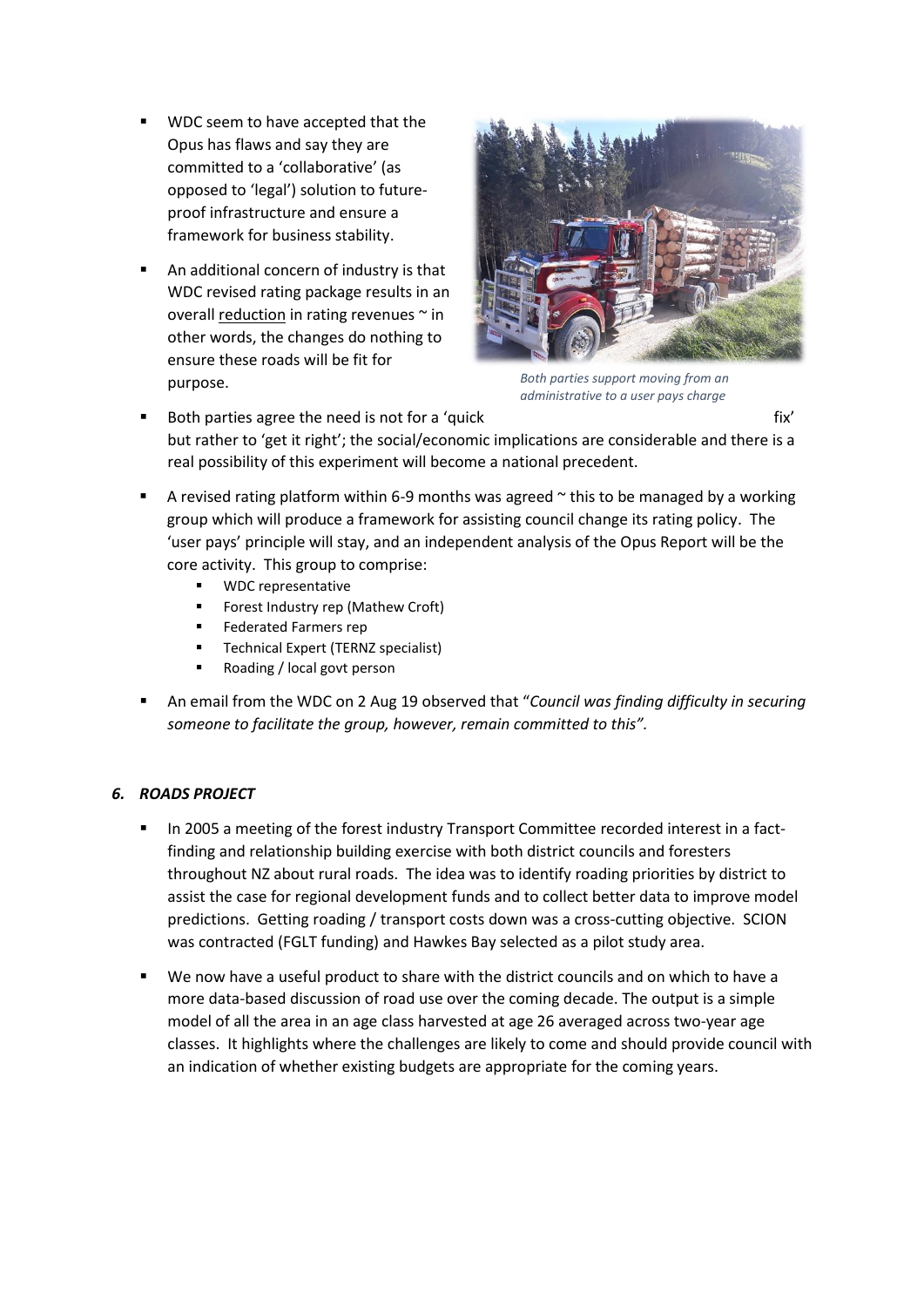- WDC seem to have accepted that the Opus has flaws and say they are committed to a 'collaborative' (as opposed to 'legal') solution to futureproof infrastructure and ensure a framework for business stability.
- An additional concern of industry is that WDC revised rating package results in an overall reduction in rating revenues  $\sim$  in other words, the changes do nothing to ensure these roads will be fit for purpose.



*Both parties support moving from an administrative to a user pays charge*

- Both parties agree the need is not for a 'quick fix' fix' fix' but rather to 'get it right'; the social/economic implications are considerable and there is a real possibility of this experiment will become a national precedent.
- A revised rating platform within 6-9 months was agreed  $\sim$  this to be managed by a working group which will produce a framework for assisting council change its rating policy. The 'user pays' principle will stay, and an independent analysis of the Opus Report will be the core activity. This group to comprise:
	- WDC representative
	- Forest Industry rep (Mathew Croft)
	- **Federated Farmers rep**
	- Technical Expert (TERNZ specialist)
	- Roading / local govt person
- An email from the WDC on 2 Aug 19 observed that "*Council was finding difficulty in securing someone to facilitate the group, however, remain committed to this".*

## *6. ROADS PROJECT*

- In 2005 a meeting of the forest industry Transport Committee recorded interest in a factfinding and relationship building exercise with both district councils and foresters throughout NZ about rural roads. The idea was to identify roading priorities by district to assist the case for regional development funds and to collect better data to improve model predictions. Getting roading / transport costs down was a cross-cutting objective. SCION was contracted (FGLT funding) and Hawkes Bay selected as a pilot study area.
- We now have a useful product to share with the district councils and on which to have a more data-based discussion of road use over the coming decade. The output is a simple model of all the area in an age class harvested at age 26 averaged across two-year age classes. It highlights where the challenges are likely to come and should provide council with an indication of whether existing budgets are appropriate for the coming years.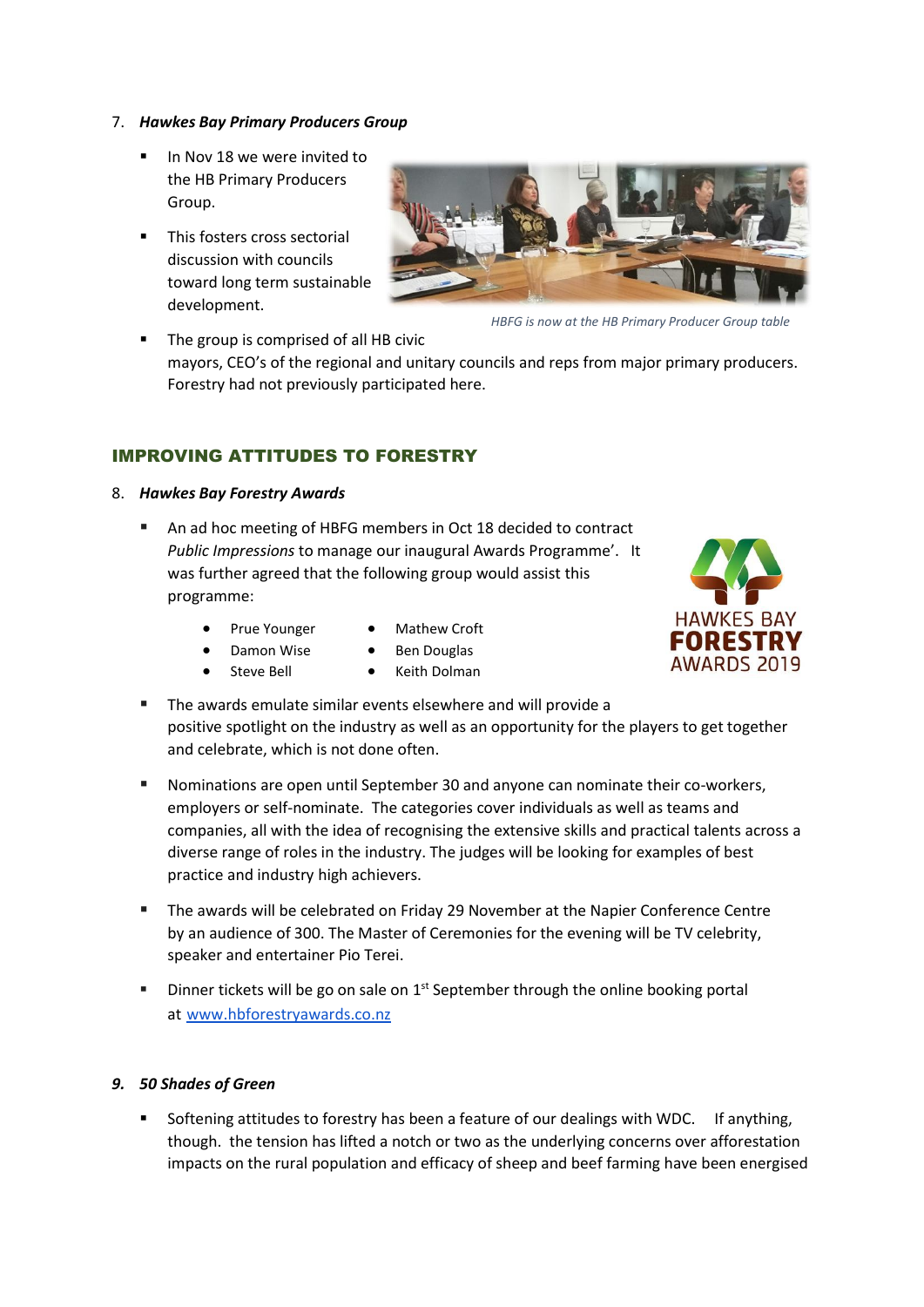#### 7. *Hawkes Bay Primary Producers Group*

- In Nov 18 we were invited to the HB Primary Producers Group.
- **·** This fosters cross sectorial discussion with councils toward long term sustainable development.



*HBFG is now at the HB Primary Producer Group table*

The group is comprised of all HB civic mayors, CEO's of the regional and unitary councils and reps from major primary producers. Forestry had not previously participated here.

## IMPROVING ATTITUDES TO FORESTRY

- 8. *Hawkes Bay Forestry Awards*
	- An ad hoc meeting of HBFG members in Oct 18 decided to contract *Public Impressions* to manage our inaugural Awards Programme'. It was further agreed that the following group would assist this programme:
		- Prue Younger Mathew Croft
			-
		- Damon Wise Ben Douglas
			- Steve Bell Keith Dolman



- The awards emulate similar events elsewhere and will provide a positive spotlight on the industry as well as an opportunity for the players to get together and celebrate, which is not done often.
- Nominations are open until September 30 and anyone can nominate their co-workers, employers or self-nominate. The categories cover individuals as well as teams and companies, all with the idea of recognising the extensive skills and practical talents across a diverse range of roles in the industry. The judges will be looking for examples of best practice and industry high achievers.
- The awards will be celebrated on Friday 29 November at the Napier Conference Centre by an audience of 300. The Master of Ceremonies for the evening will be TV celebrity, speaker and entertainer Pio Terei.
- $\blacksquare$  Dinner tickets will be go on sale on  $1^{st}$  September through the online booking portal at [www.hbforestryawards.co.nz](http://www.hbforestryawards.co.nz/)

### *9. 50 Shades of Green*

Softening attitudes to forestry has been a feature of our dealings with WDC. If anything, though. the tension has lifted a notch or two as the underlying concerns over afforestation impacts on the rural population and efficacy of sheep and beef farming have been energised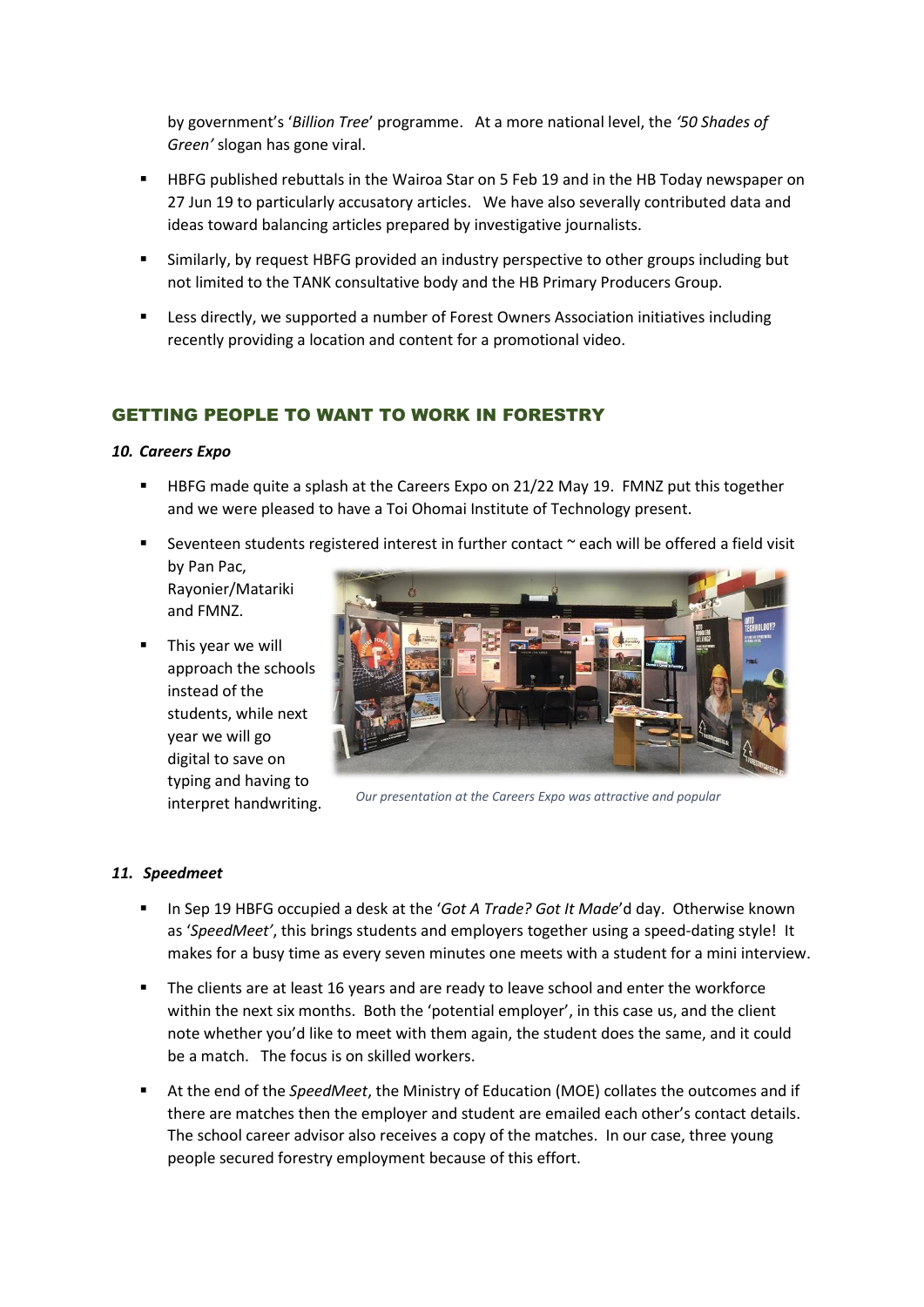by government's '*Billion Tree*' programme. At a more national level, the *'50 Shades of Green'* slogan has gone viral.

- HBFG published rebuttals in the Wairoa Star on 5 Feb 19 and in the HB Today newspaper on 27 Jun 19 to particularly accusatory articles. We have also severally contributed data and ideas toward balancing articles prepared by investigative journalists.
- Similarly, by request HBFG provided an industry perspective to other groups including but not limited to the TANK consultative body and the HB Primary Producers Group.
- Less directly, we supported a number of Forest Owners Association initiatives including recently providing a location and content for a promotional video.

## GETTING PEOPLE TO WANT TO WORK IN FORESTRY

#### *10. Careers Expo*

- HBFG made quite a splash at the Careers Expo on 21/22 May 19. FMNZ put this together and we were pleased to have a Toi Ohomai Institute of Technology present.
- Seventeen students registered interest in further contact ~ each will be offered a field visit by Pan Pac,
	- Rayonier/Matariki and FMNZ.
- This year we will approach the schools instead of the students, while next year we will go digital to save on typing and having to interpret handwriting.



*Our presentation at the Careers Expo was attractive and popular*

#### *11. Speedmeet*

- In Sep 19 HBFG occupied a desk at the '*Got A Trade? Got It Made*'d day. Otherwise known as '*SpeedMeet'*, this brings students and employers together using a speed-dating style! It makes for a busy time as every seven minutes one meets with a student for a mini interview.
- The clients are at least 16 years and are ready to leave school and enter the workforce within the next six months. Both the 'potential employer', in this case us, and the client note whether you'd like to meet with them again, the student does the same, and it could be a match. The focus is on skilled workers.
- At the end of the *SpeedMeet*, the Ministry of Education (MOE) collates the outcomes and if there are matches then the employer and student are emailed each other's contact details. The school career advisor also receives a copy of the matches. In our case, three young people secured forestry employment because of this effort.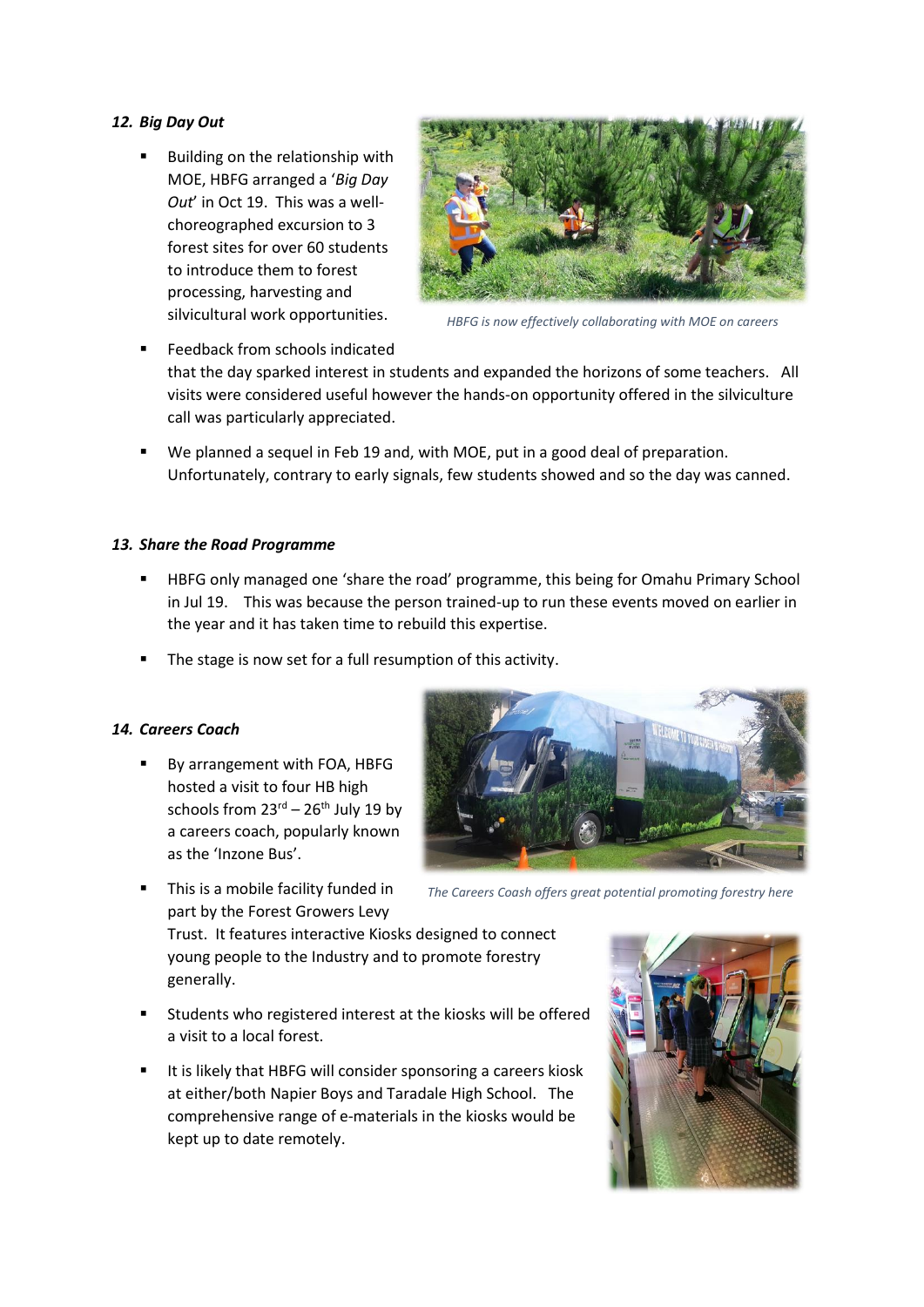#### *12. Big Day Out*

Building on the relationship with MOE, HBFG arranged a '*Big Day Out*' in Oct 19. This was a wellchoreographed excursion to 3 forest sites for over 60 students to introduce them to forest processing, harvesting and silvicultural work opportunities.



*HBFG is now effectively collaborating with MOE on careers*

- Feedback from schools indicated that the day sparked interest in students and expanded the horizons of some teachers. All visits were considered useful however the hands-on opportunity offered in the silviculture call was particularly appreciated.
- We planned a sequel in Feb 19 and, with MOE, put in a good deal of preparation. Unfortunately, contrary to early signals, few students showed and so the day was canned.

#### *13. Share the Road Programme*

- HBFG only managed one 'share the road' programme, this being for Omahu Primary School in Jul 19. This was because the person trained-up to run these events moved on earlier in the year and it has taken time to rebuild this expertise.
- The stage is now set for a full resumption of this activity.

#### *14. Careers Coach*

- By arrangement with FOA, HBFG hosted a visit to four HB high schools from  $23<sup>rd</sup> - 26<sup>th</sup>$  July 19 by a careers coach, popularly known as the 'Inzone Bus'.
- This is a mobile facility funded in part by the Forest Growers Levy



*The Careers Coash offers great potential promoting forestry here* 

Trust. It features interactive Kiosks designed to connect young people to the Industry and to promote forestry generally.

- Students who registered interest at the kiosks will be offered a visit to a local forest.
- It is likely that HBFG will consider sponsoring a careers kiosk at either/both Napier Boys and Taradale High School. The comprehensive range of e-materials in the kiosks would be kept up to date remotely.